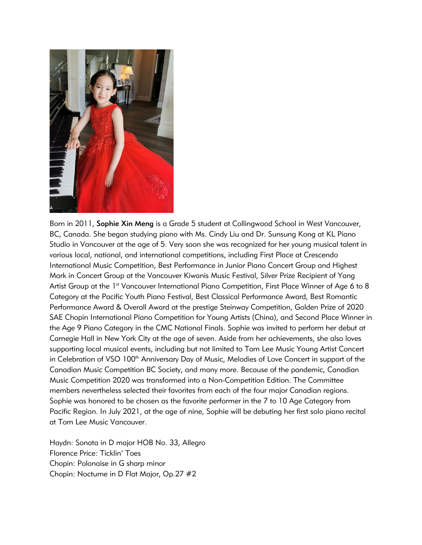

Born in 2011, Sophie Xin Meng is a Grade 5 student at Collingwood School in West Vancouver, BC, Canada. She began studying piano with Ms. Cindy Liu and Dr. Sunsung Kong at KL Piano Studio in Vancouver at the age of 5. Very soon she was recognized for her young musical talent in various local, national, and international competitions, including First Place at Crescendo International Music Competition, Best Performance in Junior Piano Concert Group and Highest Mark in Concert Group at the Vancouver Kiwanis Music Festival, Silver Prize Recipient of Yang Artist Group at the 1<sup>st</sup> Vancouver International Piano Competition, First Place Winner of Age 6 to 8 Category at the Pacific Youth Piano Festival, Best Classical Performance Award, Best Romantic Performance Award & Overall Award at the prestige Steinway Competition, Golden Prize of 2020 SAE Chopin International Piano Competition for Young Artists (China), and Second Place Winner in the Age 9 Piano Category in the CMC National Finals. Sophie was invited to perform her debut at Carnegie Hall in New York City at the age of seven. Aside from her achievements, she also loves supporting local musical events, including but not limited to Tom Lee Music Young Artist Concert in Celebration of VSO 100<sup>th</sup> Anniversary Day of Music, Melodies of Love Concert in support of the Canadian Music Competition BC Society, and many more. Because of the pandemic, Canadian Music Competition 2020 was transformed into a Non-Competition Edition. The Committee members nevertheless selected their favorites from each of the four major Canadian regions. Sophie was honored to be chosen as the favorite performer in the 7 to 10 Age Category from Pacific Region. In July 2021, at the age of nine, Sophie will be debuting her first solo piano recital at Tom Lee Music Vancouver.

Haydn: Sonata in D major HOB No. 33, Allegro Florence Price: Ticklin' Toes Chopin: Polonaise in G sharp minor Chopin: Nocturne in D Flat Major, Op.27 #2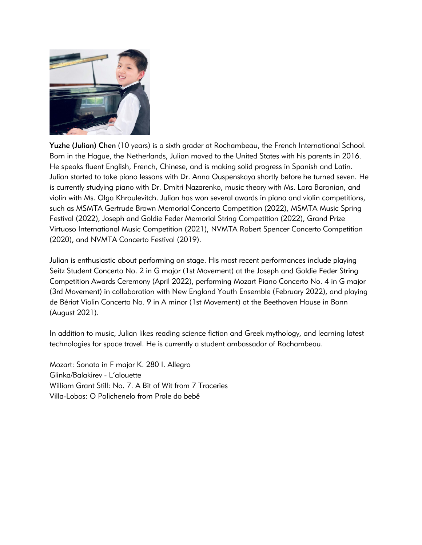

Yuzhe (Julian) Chen (10 years) is a sixth grader at Rochambeau, the French International School. Born in the Hague, the Netherlands, Julian moved to the United States with his parents in 2016. He speaks fluent English, French, Chinese, and is making solid progress in Spanish and Latin. Julian started to take piano lessons with Dr. Anna Ouspenskaya shortly before he turned seven. He is currently studying piano with Dr. Dmitri Nazarenko, music theory with Ms. Lora Baronian, and violin with Ms. Olga Khroulevitch. Julian has won several awards in piano and violin competitions, such as MSMTA Gertrude Brown Memorial Concerto Competition (2022), MSMTA Music Spring Festival (2022), Joseph and Goldie Feder Memorial String Competition (2022), Grand Prize Virtuoso International Music Competition (2021), NVMTA Robert Spencer Concerto Competition (2020), and NVMTA Concerto Festival (2019).

Julian is enthusiastic about performing on stage. His most recent performances include playing Seitz Student Concerto No. 2 in G major (1st Movement) at the Joseph and Goldie Feder String Competition Awards Ceremony (April 2022), performing Mozart Piano Concerto No. 4 in G major (3rd Movement) in collaboration with New England Youth Ensemble (February 2022), and playing de Bériot Violin Concerto No. 9 in A minor (1st Movement) at the Beethoven House in Bonn (August 2021).

In addition to music, Julian likes reading science fiction and Greek mythology, and learning latest technologies for space travel. He is currently a student ambassador of Rochambeau.

Mozart: Sonata in F major K. 280 I. Allegro Glinka/Balakirev - L'alouette William Grant Still: No. 7. A Bit of Wit from 7 Traceries Villa-Lobos: O Polichenelo from Prole do bebê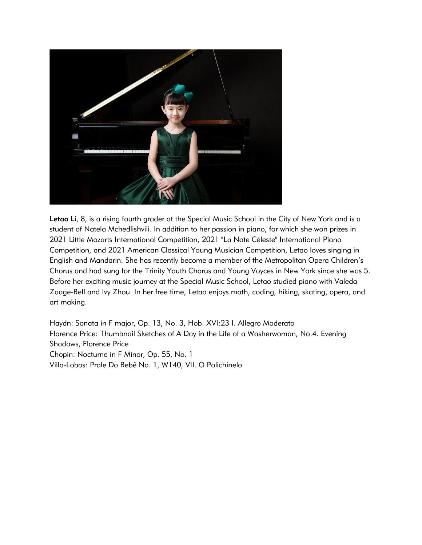

Letao Li, 8, is a rising fourth grader at the Special Music School in the City of New York and is a student of Natela Mchedlishvili. In addition to her passion in piano, for which she won prizes in 2021 Little Mozarts International Competition, 2021 "La Note Céleste" International Piano Competition, and 2021 American Classical Young Musician Competition, Letao loves singing in English and Mandarin. She has recently become a member of the Metropolitan Opera Children's Chorus and had sung for the Trinity Youth Chorus and Young Voyces in New York since she was 5. Before her exciting music journey at the Special Music School, Letao studied piano with Valeda Zaage-Bell and Ivy Zhou. In her free time, Letao enjoys math, coding, hiking, skating, opera, and art making.

Haydn: Sonata in F major, Op. 13, No. 3, Hob. XVI:23 I. Allegro Moderato Florence Price: Thumbnail Sketches of A Day in the Life of a Washerwoman, No.4. Evening Shadows, Florence Price Chopin: Nocturne in F Minor, Op. 55, No. 1 Villa-Lobos: Prole Do Bebê No. 1, W140, VII. O Polichinelo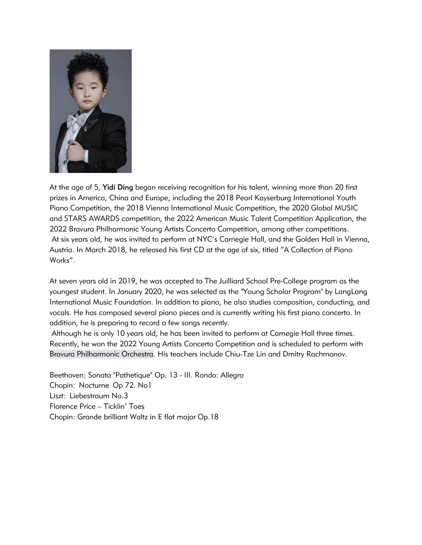

At the age of 5, Yidi Ding began receiving recognition for his talent, winning more than 20 first prizes in America, China and Europe, including the 2018 Pearl Kayserburg International Youth Piano Competition, the 2018 Vienna International Music Competition, the 2020 Global MUSIC and STARS AWARDS competition, the 2022 American Music Talent Competition Application, the 2022 Bravura Philharmonic Young Artists Concerto Competition, among other competitions. At six years old, he was invited to perform at NYC's Carnegie Hall, and the Golden Hall in Vienna, Austria. In March 2018, he released his first CD at the age of six, titled "A Collection of Piano Works".

At seven years old in 2019, he was accepted to The Juilliard School Pre-College program as the youngest student. In January 2020, he was selected as the "Young Scholar Program" by LangLang International Music Foundation. In addition to piano, he also studies composition, conducting, and vocals. He has composed several piano pieces and is currently writing his first piano concerto. In addition, he is preparing to record a few songs recently.

Although he is only 10 years old, he has been invited to perform at Carnegie Hall three times. Recently, he won the 2022 Young Artists Concerto Competition and is scheduled to perform with [Bravura Philharmonic Orchestra.](http://www.bravuraphil.org/orchestra) His teachers include Chiu-Tze Lin and Dmitry Rachmanov.

Beethoven: Sonata "Pathetique" Op. 13 - III. Rondo: Allegro Chopin: Nocturne Op 72. No1 Liszt: Liebestraum No.3 Florence Price – Ticklin' Toes Chopin: Grande brilliant Waltz in E flat major Op.18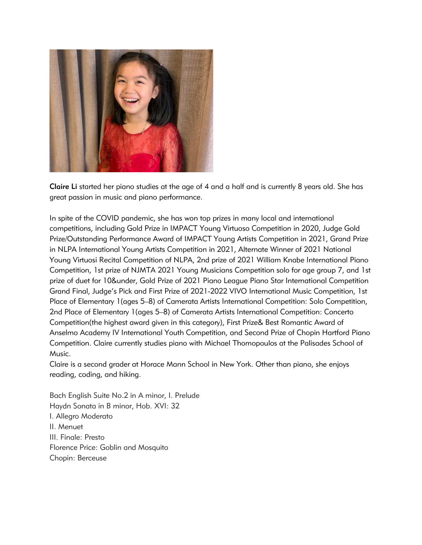

Claire Li started her piano studies at the age of 4 and a half and is currently 8 years old. She has great passion in music and piano performance.

In spite of the COVID pandemic, she has won top prizes in many local and international competitions, including Gold Prize in IMPACT Young Virtuoso Competition in 2020, Judge Gold Prize/Outstanding Performance Award of IMPACT Young Artists Competition in 2021, Grand Prize in NLPA International Young Artists Competition in 2021, Alternate Winner of 2021 National Young Virtuosi Recital Competition of NLPA, 2nd prize of 2021 William Knabe International Piano Competition, 1st prize of NJMTA 2021 Young Musicians Competition solo for age group 7, and 1st prize of duet for 10&under, Gold Prize of 2021 Piano League Piano Star International Competition Grand Final, Judge's Pick and First Prize of 2021-2022 VIVO International Music Competition, 1st Place of Elementary 1(ages 5–8) of Camerata Artists International Competition: Solo Competition, 2nd Place of Elementary 1(ages 5–8) of Camerata Artists International Competition: Concerto Competition(the highest award given in this category), First Prize& Best Romantic Award of Anselmo Academy IV International Youth Competition, and Second Prize of Chopin Hartford Piano Competition. Claire currently studies piano with Michael Thomopoulos at the Palisades School of Music.

Claire is a second grader at Horace Mann School in New York. Other than piano, she enjoys reading, coding, and hiking.

Bach English Suite No.2 in A minor, I. Prelude Haydn Sonata in B minor, Hob. XVI: 32 I. Allegro Moderato II. Menuet III. Finale: Presto Florence Price: Goblin and Mosquito Chopin: Berceuse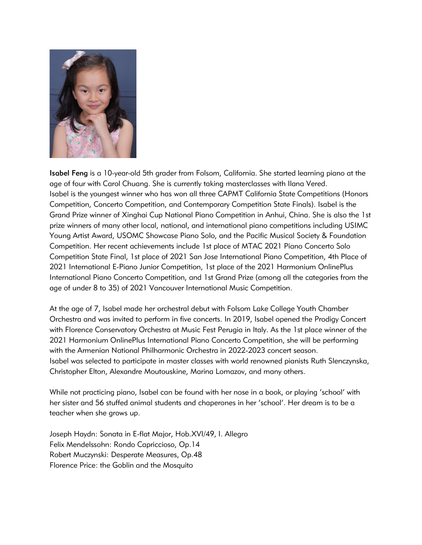

Isabel Feng is a 10-year-old 5th grader from Folsom, California. She started learning piano at the age of four with Carol Chuang. She is currently taking masterclasses with Ilana Vered. Isabel is the youngest winner who has won all three CAPMT California State Competitions (Honors Competition, Concerto Competition, and Contemporary Competition State Finals). Isabel is the Grand Prize winner of Xinghai Cup National Piano Competition in Anhui, China. She is also the 1st prize winners of many other local, national, and international piano competitions including USIMC Young Artist Award, USOMC Showcase Piano Solo, and the Pacific Musical Society & Foundation Competition. Her recent achievements include 1st place of MTAC 2021 Piano Concerto Solo Competition State Final, 1st place of 2021 San Jose International Piano Competition, 4th Place of 2021 International E-Piano Junior Competition, 1st place of the 2021 Harmonium OnlinePlus International Piano Concerto Competition, and 1st Grand Prize (among all the categories from the age of under 8 to 35) of 2021 Vancouver International Music Competition.

At the age of 7, Isabel made her orchestral debut with Folsom Lake College Youth Chamber Orchestra and was invited to perform in five concerts. In 2019, Isabel opened the Prodigy Concert with Florence Conservatory Orchestra at Music Fest Perugia in Italy. As the 1st place winner of the 2021 Harmonium OnlinePlus International Piano Concerto Competition, she will be performing with the Armenian National Philharmonic Orchestra in 2022-2023 concert season. Isabel was selected to participate in master classes with world renowned pianists Ruth Slenczynska, Christopher Elton, Alexandre Moutouskine, Marina Lomazov, and many others.

While not practicing piano, Isabel can be found with her nose in a book, or playing 'school' with her sister and 56 stuffed animal students and chaperones in her 'school'. Her dream is to be a teacher when she grows up.

Joseph Haydn: Sonata in E-flat Major, Hob.XVI/49, I. Allegro Felix Mendelssohn: Rondo Capriccioso, Op.14 Robert Muczynski: Desperate Measures, Op.48 Florence Price: the Goblin and the Mosquito